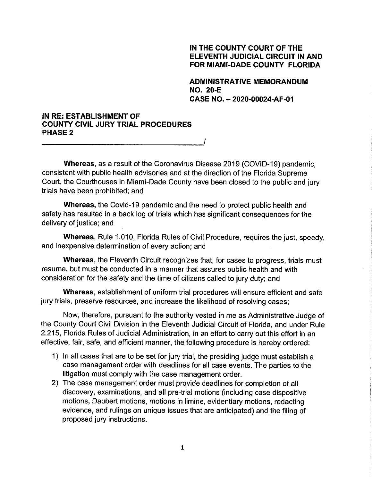### IN THE COUNTY COURT OF THE **ELEVENTH JUDICIAL CIRCUIT IN AND** FOR MIAMI-DADE COUNTY FLORIDA

**ADMINISTRATIVE MEMORANDUM NO. 20-E** CASE NO. - 2020-00024-AF-01

## IN RE: ESTABLISHMENT OF **COUNTY CIVIL JURY TRIAL PROCEDURES PHASE 2**

Whereas, as a result of the Coronavirus Disease 2019 (COVID-19) pandemic. consistent with public health advisories and at the direction of the Florida Supreme Court, the Courthouses in Miami-Dade County have been closed to the public and jury trials have been prohibited; and

Whereas, the Covid-19 pandemic and the need to protect public health and safety has resulted in a back log of trials which has significant consequences for the delivery of justice; and

Whereas, Rule 1.010, Florida Rules of Civil Procedure, requires the just, speedy, and inexpensive determination of every action; and

**Whereas, the Eleventh Circuit recognizes that, for cases to progress, trials must** resume, but must be conducted in a manner that assures public health and with consideration for the safety and the time of citizens called to jury duty; and

Whereas, establishment of uniform trial procedures will ensure efficient and safe jury trials, preserve resources, and increase the likelihood of resolving cases;

Now, therefore, pursuant to the authority vested in me as Administrative Judge of the County Court Civil Division in the Eleventh Judicial Circuit of Florida, and under Rule 2.215, Florida Rules of Judicial Administration, in an effort to carry out this effort in an effective, fair, safe, and efficient manner, the following procedure is hereby ordered:

- 1) In all cases that are to be set for jury trial, the presiding judge must establish a case management order with deadlines for all case events. The parties to the litigation must comply with the case management order.
- 2) The case management order must provide deadlines for completion of all discovery, examinations, and all pre-trial motions (including case dispositive motions, Daubert motions, motions in limine, evidentiary motions, redacting evidence, and rulings on unique issues that are anticipated) and the filing of proposed jury instructions.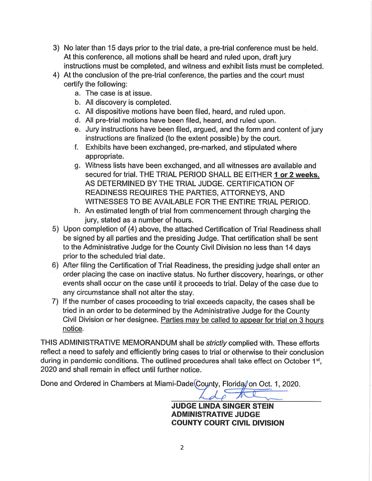- 3) No later than 15 days prior to the trial date, a pre-trial conference must be held. At this conference, all motions shall be heard and ruled upon, draft jury instructions must be completed, and witness and exhibit lists must be completed.
- 4) At the conclusion of the pre-trial conference, the parties and the court must certify the following:
	- a. The case is at issue.
	- b. All discovery is completed.
	- c. All dispositive motions have been filed, heard, and ruled upon.
	- d. All pre-trial motions have been filed, heard, and ruled upon.
	- e. Jury instructions have been filed, argued, and the form and content of jury instructions are finalized (to the extent possible) by the court.
	- f. Exhibits have been exchanged, pre-marked, and stipulated where appropriate.
	- g. Witness lists have been exchanged, and all witnesses are available and secured for trial. THE TRIAL PERIOD SHALL BE EITHER 1 or 2 weeks. AS DETERMINED BY THE TRIAL JUDGE. CERTIFICATION OF READINESS REQUIRES THE PARTIES, ATTORNEYS, AND WITNESSES TO BE AVAILABLE FOR THE ENTIRE TRIAL PERIOD.
	- h. An estimated length of trial from commencement through charging the jury, stated as a number of hours.
- 5) Upon completion of (4) above, the attached Certification of Trial Readiness shall be signed by all parties and the presiding Judge. That certification shall be sent to the Administrative Judge for the County Civil Division no less than 14 days prior to the scheduled trial date.
- 6) After filing the Certification of Trial Readiness, the presiding judge shall enter an order placing the case on inactive status. No further discovery, hearings, or other events shall occur on the case until it proceeds to trial. Delay of the case due to any circumstance shall not alter the stay.
- 7) If the number of cases proceeding to trial exceeds capacity, the cases shall be tried in an order to be determined by the Administrative Judge for the County Civil Division or her designee. Parties may be called to appear for trial on 3 hours notice.

THIS ADMINISTRATIVE MEMORANDUM shall be *strictly* complied with. These efforts reflect a need to safely and efficiently bring cases to trial or otherwise to their conclusion during in pandemic conditions. The outlined procedures shall take effect on October 1<sup>st</sup>, 2020 and shall remain in effect until further notice.

Done and Ordered in Chambers at Miami-Dade County, Florida, on Oct. 1, 2020.

**JUDGE LINDA SINGER STEIN ADMINISTRATIVE JUDGE COUNTY COURT CIVIL DIVISION**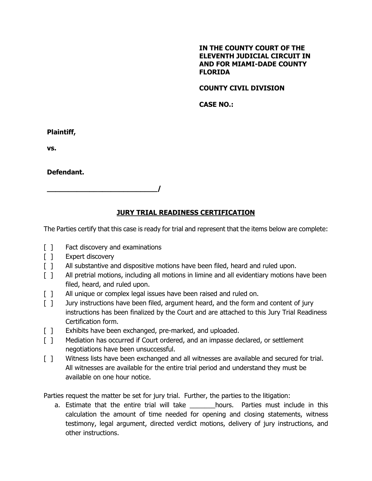### **IN THE COUNTY COURT OF THE ELEVENTH JUDICIAL CIRCUIT IN AND FOR MIAMI-DADE COUNTY FLORIDA**

## **COUNTY CIVIL DIVISION**

**CASE NO.:**

**Plaintiff,**

**vs.**

**Defendant.**

# **JURY TRIAL READINESS CERTIFICATION**

The Parties certify that this case is ready for trial and represent that the items below are complete:

[ ] Fact discovery and examinations

**\_\_\_\_\_\_\_\_\_\_\_\_\_\_\_\_\_\_\_\_\_\_\_\_\_\_/**

- [ ] Expert discovery
- [ ] All substantive and dispositive motions have been filed, heard and ruled upon.
- [ ] All pretrial motions, including all motions in limine and all evidentiary motions have been filed, heard, and ruled upon.
- [ ] All unique or complex legal issues have been raised and ruled on.
- [ ] Jury instructions have been filed, argument heard, and the form and content of jury instructions has been finalized by the Court and are attached to this Jury Trial Readiness Certification form.
- [ ] Exhibits have been exchanged, pre-marked, and uploaded.
- [ ] Mediation has occurred if Court ordered, and an impasse declared, or settlement negotiations have been unsuccessful.
- [ ] Witness lists have been exchanged and all witnesses are available and secured for trial. All witnesses are available for the entire trial period and understand they must be available on one hour notice.

Parties request the matter be set for jury trial. Further, the parties to the litigation:

a. Estimate that the entire trial will take hours. Parties must include in this calculation the amount of time needed for opening and closing statements, witness testimony, legal argument, directed verdict motions, delivery of jury instructions, and other instructions.